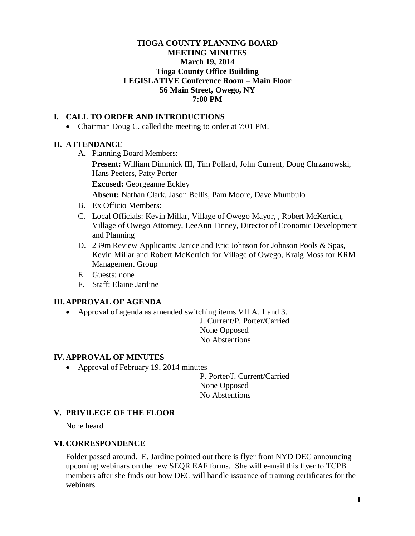# **TIOGA COUNTY PLANNING BOARD MEETING MINUTES March 19, 2014 Tioga County Office Building LEGISLATIVE Conference Room – Main Floor 56 Main Street, Owego, NY 7:00 PM**

# **I. CALL TO ORDER AND INTRODUCTIONS**

• Chairman Doug C. called the meeting to order at 7:01 PM.

# **II. ATTENDANCE**

A. Planning Board Members:

**Present:** William Dimmick III, Tim Pollard, John Current, Doug Chrzanowski, Hans Peeters, Patty Porter

**Excused:** Georgeanne Eckley

**Absent:** Nathan Clark, Jason Bellis, Pam Moore, Dave Mumbulo

- B. Ex Officio Members:
- C. Local Officials: Kevin Millar, Village of Owego Mayor, , Robert McKertich, Village of Owego Attorney, LeeAnn Tinney, Director of Economic Development and Planning
- D. 239m Review Applicants: Janice and Eric Johnson for Johnson Pools & Spas, Kevin Millar and Robert McKertich for Village of Owego, Kraig Moss for KRM Management Group
- E. Guests: none
- F. Staff: Elaine Jardine

#### **III.APPROVAL OF AGENDA**

• Approval of agenda as amended switching items VII A. 1 and 3.

J. Current/P. Porter/Carried None Opposed No Abstentions

#### **IV. APPROVAL OF MINUTES**

• Approval of February 19, 2014 minutes

P. Porter/J. Current/Carried None Opposed No Abstentions

#### **V. PRIVILEGE OF THE FLOOR**

None heard

#### **VI. CORRESPONDENCE**

Folder passed around. E. Jardine pointed out there is flyer from NYD DEC announcing upcoming webinars on the new SEQR EAF forms. She will e-mail this flyer to TCPB members after she finds out how DEC will handle issuance of training certificates for the webinars.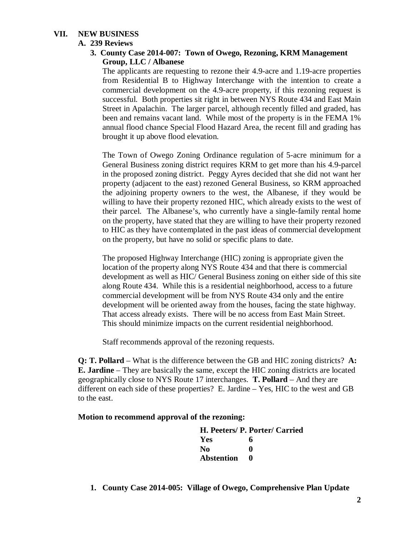# **VII. NEW BUSINESS**

# **A. 239 Reviews**

# **3. County Case 2014-007: Town of Owego, Rezoning, KRM Management Group, LLC / Albanese**

The applicants are requesting to rezone their 4.9-acre and 1.19-acre properties from Residential B to Highway Interchange with the intention to create a commercial development on the 4.9-acre property, if this rezoning request is successful. Both properties sit right in between NYS Route 434 and East Main Street in Apalachin. The larger parcel, although recently filled and graded, has been and remains vacant land. While most of the property is in the FEMA 1% annual flood chance Special Flood Hazard Area, the recent fill and grading has brought it up above flood elevation.

The Town of Owego Zoning Ordinance regulation of 5-acre minimum for a General Business zoning district requires KRM to get more than his 4.9-parcel in the proposed zoning district. Peggy Ayres decided that she did not want her property (adjacent to the east) rezoned General Business, so KRM approached the adjoining property owners to the west, the Albanese, if they would be willing to have their property rezoned HIC, which already exists to the west of their parcel. The Albanese's, who currently have a single-family rental home on the property, have stated that they are willing to have their property rezoned to HIC as they have contemplated in the past ideas of commercial development on the property, but have no solid or specific plans to date.

The proposed Highway Interchange (HIC) zoning is appropriate given the location of the property along NYS Route 434 and that there is commercial development as well as HIC/ General Business zoning on either side of this site along Route 434. While this is a residential neighborhood, access to a future commercial development will be from NYS Route 434 only and the entire development will be oriented away from the houses, facing the state highway. That access already exists. There will be no access from East Main Street. This should minimize impacts on the current residential neighborhood.

Staff recommends approval of the rezoning requests.

**Q: T. Pollard** – What is the difference between the GB and HIC zoning districts? **A: E. Jardine** – They are basically the same, except the HIC zoning districts are located geographically close to NYS Route 17 interchanges. **T. Pollard** – And they are different on each side of these properties? E. Jardine – Yes, HIC to the west and GB to the east.

#### **Motion to recommend approval of the rezoning:**

**H. Peeters/ P. Porter/ Carried Yes 6 No 0 Abstention 0**

**1. County Case 2014-005: Village of Owego, Comprehensive Plan Update**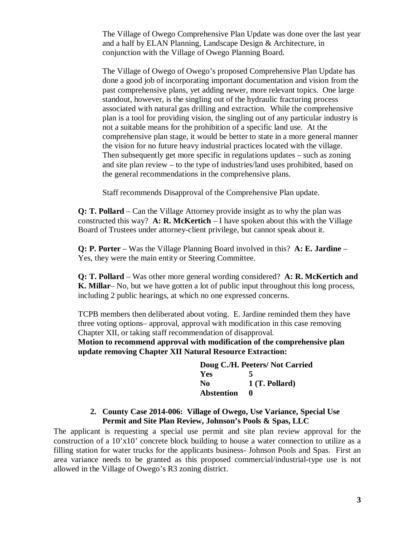The Village of Owego Comprehensive Plan Update was done over the last year and a half by ELAN Planning, Landscape Design & Architecture, in conjunction with the Village of Owego Planning Board.

The Village of Owego of Owego's proposed Comprehensive Plan Update has done a good job of incorporating important documentation and vision from the past comprehensive plans, yet adding newer, more relevant topics. One large standout, however, is the singling out of the hydraulic fracturing process associated with natural gas drilling and extraction. While the comprehensive plan is a tool for providing vision, the singling out of any particular industry is not a suitable means for the prohibition of a specific land use. At the comprehensive plan stage, it would be better to state in a more general manner the vision for no future heavy industrial practices located with the village. Then subsequently get more specific in regulations updates – such as zoning and site plan review – to the type of industries/land uses prohibited, based on the general recommendations in the comprehensive plans.

Staff recommends Disapproval of the Comprehensive Plan update.

**Q: T. Pollard** – Can the Village Attorney provide insight as to why the plan was constructed this way? **A: R. McKertich** – I have spoken about this with the Village Board of Trustees under attorney-client privilege, but cannot speak about it.

**Q: P. Porter** – Was the Village Planning Board involved in this? **A: E. Jardine** – Yes, they were the main entity or Steering Committee.

**Q: T. Pollard** – Was other more general wording considered? **A: R. McKertich and K. Millar**– No, but we have gotten a lot of public input throughout this long process, including 2 public hearings, at which no one expressed concerns.

TCPB members then deliberated about voting. E. Jardine reminded them they have three voting options– approval, approval with modification in this case removing Chapter XII, or taking staff recommendation of disapproval.

**Motion to recommend approval with modification of the comprehensive plan update removing Chapter XII Natural Resource Extraction:**

|                   | Doug C./H. Peeters/Not Carried |
|-------------------|--------------------------------|
| <b>Yes</b>        | 5                              |
| No.               | $1$ (T. Pollard)               |
| <b>Abstention</b> |                                |

# **2. County Case 2014-006: Village of Owego, Use Variance, Special Use Permit and Site Plan Review, Johnson's Pools & Spas, LLC**

The applicant is requesting a special use permit and site plan review approval for the construction of a 10'x10' concrete block building to house a water connection to utilize as a filling station for water trucks for the applicants business- Johnson Pools and Spas. First an area variance needs to be granted as this proposed commercial/industrial-type use is not allowed in the Village of Owego's R3 zoning district.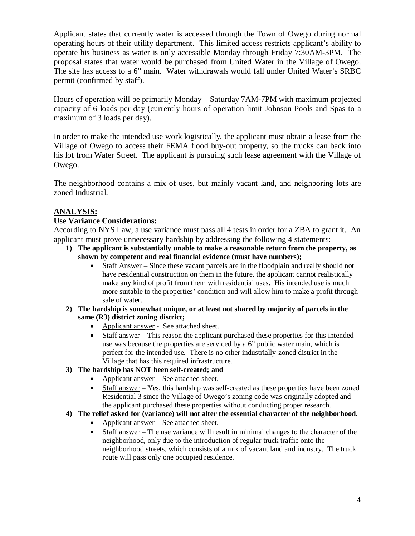Applicant states that currently water is accessed through the Town of Owego during normal operating hours of their utility department. This limited access restricts applicant's ability to operate his business as water is only accessible Monday through Friday 7:30AM-3PM. The proposal states that water would be purchased from United Water in the Village of Owego. The site has access to a 6" main. Water withdrawals would fall under United Water's SRBC permit (confirmed by staff).

Hours of operation will be primarily Monday – Saturday 7AM-7PM with maximum projected capacity of 6 loads per day (currently hours of operation limit Johnson Pools and Spas to a maximum of 3 loads per day).

In order to make the intended use work logistically, the applicant must obtain a lease from the Village of Owego to access their FEMA flood buy-out property, so the trucks can back into his lot from Water Street. The applicant is pursuing such lease agreement with the Village of Owego.

The neighborhood contains a mix of uses, but mainly vacant land, and neighboring lots are zoned Industrial.

# **ANALYSIS:**

#### **Use Variance Considerations:**

According to NYS Law, a use variance must pass all 4 tests in order for a ZBA to grant it. An applicant must prove unnecessary hardship by addressing the following 4 statements:

- **1) The applicant is substantially unable to make a reasonable return from the property, as shown by competent and real financial evidence (must have numbers);**
	- Staff Answer Since these vacant parcels are in the floodplain and really should not have residential construction on them in the future, the applicant cannot realistically make any kind of profit from them with residential uses. His intended use is much more suitable to the properties' condition and will allow him to make a profit through sale of water.
- **2) The hardship is somewhat unique, or at least not shared by majority of parcels in the same (R3) district zoning district;**
	- Applicant answer See attached sheet.
	- Staff answer This reason the applicant purchased these properties for this intended use was because the properties are serviced by a 6" public water main, which is perfect for the intended use. There is no other industrially-zoned district in the Village that has this required infrastructure.
- **3) The hardship has NOT been self-created; and**
	- Applicant answer See attached sheet.
	- Staff answer Yes, this hardship was self-created as these properties have been zoned Residential 3 since the Village of Owego's zoning code was originally adopted and the applicant purchased these properties without conducting proper research.
- **4) The relief asked for (variance) will not alter the essential character of the neighborhood.**
	- Applicant answer See attached sheet.
	- Staff answer The use variance will result in minimal changes to the character of the neighborhood, only due to the introduction of regular truck traffic onto the neighborhood streets, which consists of a mix of vacant land and industry. The truck route will pass only one occupied residence.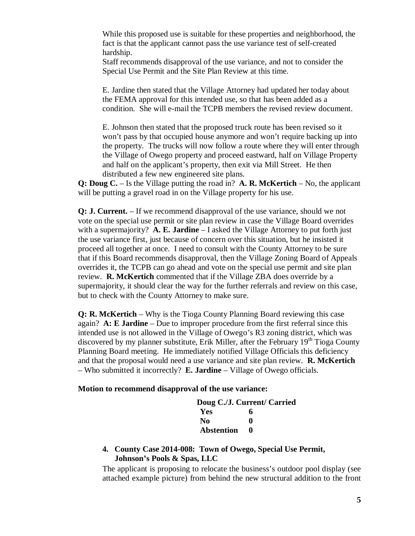While this proposed use is suitable for these properties and neighborhood, the fact is that the applicant cannot pass the use variance test of self-created hardship.

Staff recommends disapproval of the use variance, and not to consider the Special Use Permit and the Site Plan Review at this time.

E. Jardine then stated that the Village Attorney had updated her today about the FEMA approval for this intended use, so that has been added as a condition. She will e-mail the TCPB members the revised review document.

E. Johnson then stated that the proposed truck route has been revised so it won't pass by that occupied house anymore and won't require backing up into the property. The trucks will now follow a route where they will enter through the Village of Owego property and proceed eastward, half on Village Property and half on the applicant's property, then exit via Mill Street. He then distributed a few new engineered site plans.

**Q: Doug C.** – Is the Village putting the road in? **A. R. McKertich** – No, the applicant will be putting a gravel road in on the Village property for his use.

**Q: J. Current.** – If we recommend disapproval of the use variance, should we not vote on the special use permit or site plan review in case the Village Board overrides with a supermajority? **A. E. Jardine** – I asked the Village Attorney to put forth just the use variance first, just because of concern over this situation, but he insisted it proceed all together at once. I need to consult with the County Attorney to be sure that if this Board recommends disapproval, then the Village Zoning Board of Appeals overrides it, the TCPB can go ahead and vote on the special use permit and site plan review. **R. McKertich** commented that if the Village ZBA does override by a supermajority, it should clear the way for the further referrals and review on this case, but to check with the County Attorney to make sure.

**Q: R. McKertich** – Why is the Tioga County Planning Board reviewing this case again? **A: E Jardine** – Due to improper procedure from the first referral since this intended use is not allowed in the Village of Owego's R3 zoning district, which was discovered by my planner substitute, Erik Miller, after the February  $19<sup>th</sup>$  Tioga County Planning Board meeting. He immediately notified Village Officials this deficiency and that the proposal would need a use variance and site plan review. **R. McKertich** – Who submitted it incorrectly? **E. Jardine** – Village of Owego officials.

#### **Motion to recommend disapproval of the use variance:**

|                   | Doug C./J. Current/ Carried |
|-------------------|-----------------------------|
| Yes               | 6                           |
| No.               | 0                           |
| <b>Abstention</b> |                             |

#### **4. County Case 2014-008: Town of Owego, Special Use Permit, Johnson's Pools & Spas, LLC**

The applicant is proposing to relocate the business's outdoor pool display (see attached example picture) from behind the new structural addition to the front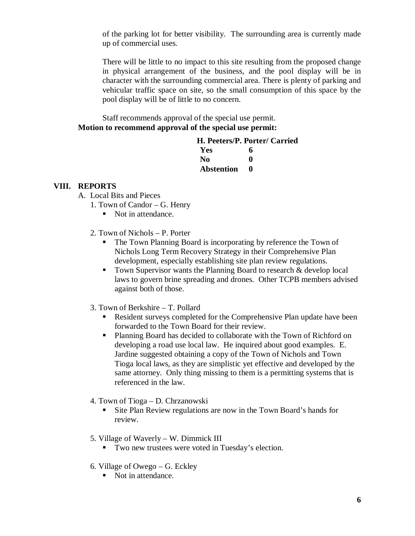of the parking lot for better visibility. The surrounding area is currently made up of commercial uses.

There will be little to no impact to this site resulting from the proposed change in physical arrangement of the business, and the pool display will be in character with the surrounding commercial area. There is plenty of parking and vehicular traffic space on site, so the small consumption of this space by the pool display will be of little to no concern.

Staff recommends approval of the special use permit. **Motion to recommend approval of the special use permit:**

# **H. Peeters/P. Porter/ Carried Yes 6**

| No         | $\mathbf 0$ |
|------------|-------------|
| Abstention | 0           |

# **VIII. REPORTS**

- A. Local Bits and Pieces
	- 1. Town of Candor G. Henry
		- Not in attendance.
	- 2. Town of Nichols P. Porter
		- The Town Planning Board is incorporating by reference the Town of Nichols Long Term Recovery Strategy in their Comprehensive Plan development, especially establishing site plan review regulations.
		- Town Supervisor wants the Planning Board to research  $&$  develop local laws to govern brine spreading and drones. Other TCPB members advised against both of those.
	- 3. Town of Berkshire T. Pollard
		- Resident surveys completed for the Comprehensive Plan update have been forwarded to the Town Board for their review.
		- **Planning Board has decided to collaborate with the Town of Richford on** developing a road use local law. He inquired about good examples. E. Jardine suggested obtaining a copy of the Town of Nichols and Town Tioga local laws, as they are simplistic yet effective and developed by the same attorney. Only thing missing to them is a permitting systems that is referenced in the law.
	- 4. Town of Tioga D. Chrzanowski
		- Site Plan Review regulations are now in the Town Board's hands for review.
	- 5. Village of Waverly W. Dimmick III
		- Two new trustees were voted in Tuesday's election.
	- 6. Village of Owego G. Eckley
		- Not in attendance.